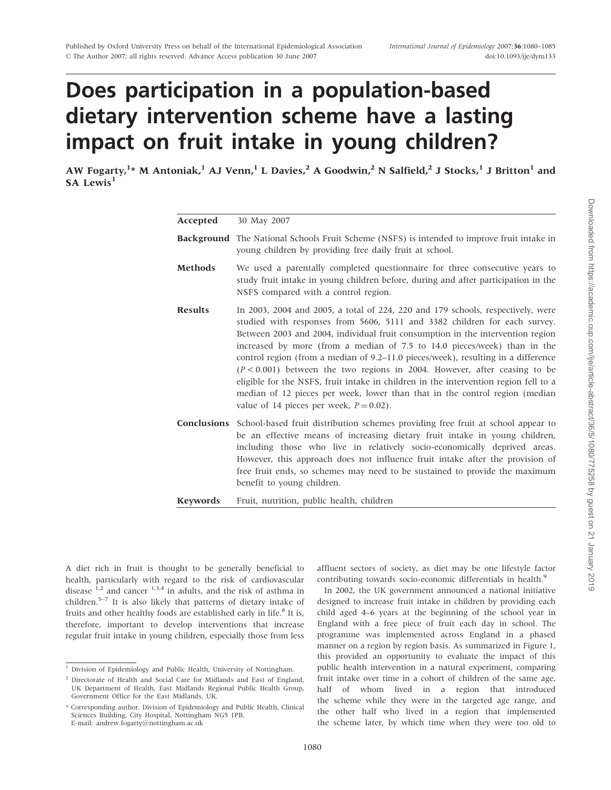# Does participation in a population-based dietary intervention scheme have a lasting impact on fruit intake in young children?

AW Fogarty, <sup>1</sup>\* M Antoniak, <sup>1</sup> AJ Venn, <sup>1</sup> L Davies, <sup>2</sup> A Goodwin, <sup>2</sup> N Salfield, <sup>2</sup> J Stocks, <sup>1</sup> J Britton <sup>1</sup> and  $S_A$  Lewis<sup>1</sup>

| Accepted        | 30 May 2007                                                                                                                                                                                                                                                                                                                                                                                                                                                                                                                                                                                                                                                                                                            |  |  |  |
|-----------------|------------------------------------------------------------------------------------------------------------------------------------------------------------------------------------------------------------------------------------------------------------------------------------------------------------------------------------------------------------------------------------------------------------------------------------------------------------------------------------------------------------------------------------------------------------------------------------------------------------------------------------------------------------------------------------------------------------------------|--|--|--|
|                 | <b>Background</b> The National Schools Fruit Scheme (NSFS) is intended to improve fruit intake in<br>young children by providing free daily fruit at school.                                                                                                                                                                                                                                                                                                                                                                                                                                                                                                                                                           |  |  |  |
| <b>Methods</b>  | We used a parentally completed questionnaire for three consecutive years to<br>study fruit intake in young children before, during and after participation in the<br>NSFS compared with a control region.                                                                                                                                                                                                                                                                                                                                                                                                                                                                                                              |  |  |  |
| <b>Results</b>  | In 2003, 2004 and 2005, a total of $224$ , 220 and 179 schools, respectively, were<br>studied with responses from 5606, 5111 and 3382 children for each survey.<br>Between 2003 and 2004, individual fruit consumption in the intervention region<br>increased by more (from a median of 7.5 to 14.0 pieces/week) than in the<br>control region (from a median of 9.2–11.0 pieces/week), resulting in a difference<br>$(P < 0.001)$ between the two regions in 2004. However, after ceasing to be<br>eligible for the NSFS, fruit intake in children in the intervention region fell to a<br>median of 12 pieces per week, lower than that in the control region (median<br>value of 14 pieces per week, $P = 0.02$ ). |  |  |  |
|                 | <b>Conclusions</b> School-based fruit distribution schemes providing free fruit at school appear to<br>be an effective means of increasing dietary fruit intake in young children,<br>including those who live in relatively socio-economically deprived areas.<br>However, this approach does not influence fruit intake after the provision of<br>free fruit ends, so schemes may need to be sustained to provide the maximum<br>benefit to young children.                                                                                                                                                                                                                                                          |  |  |  |
| <b>Keywords</b> | Fruit, nutrition, public health, children                                                                                                                                                                                                                                                                                                                                                                                                                                                                                                                                                                                                                                                                              |  |  |  |

A diet rich in fruit is thought to be generally beneficial to health, particularly with regard to the risk of cardiovascular disease  $1,2$  and cancer  $1,3,4$  in adults, and the risk of asthma in children.5–7 It is also likely that patterns of dietary intake of fruits and other healthy foods are established early in life.<sup>8</sup> It is, therefore, important to develop interventions that increase regular fruit intake in young children, especially those from less affluent sectors of society, as diet may be one lifestyle factor contributing towards socio-economic differentials in health.<sup>9</sup>

In 2002, the UK government announced a national initiative designed to increase fruit intake in children by providing each child aged 4–6 years at the beginning of the school year in England with a free piece of fruit each day in school. The programme was implemented across England in a phased manner on a region by region basis. As summarized in Figure 1, this provided an opportunity to evaluate the impact of this public health intervention in a natural experiment, comparing fruit intake over time in a cohort of children of the same age, half of whom lived in a region that introduced the scheme while they were in the targeted age range, and the other half who lived in a region that implemented the scheme later, by which time when they were too old to

<sup>&</sup>lt;sup>1</sup> Division of Epidemiology and Public Health, University of Nottingham.

 $2$  Directorate of Health and Social Care for Midlands and East of England, UK Department of Health, East Midlands Regional Public Health Group, Government Office for the East Midlands, UK.

<sup>\*</sup> Corresponding author. Division of Epidemiology and Public Health, Clinical Sciences Building, City Hospital, Nottingham NG5 1PB. E-mail: andrew.fogarty@nottingham.ac.uk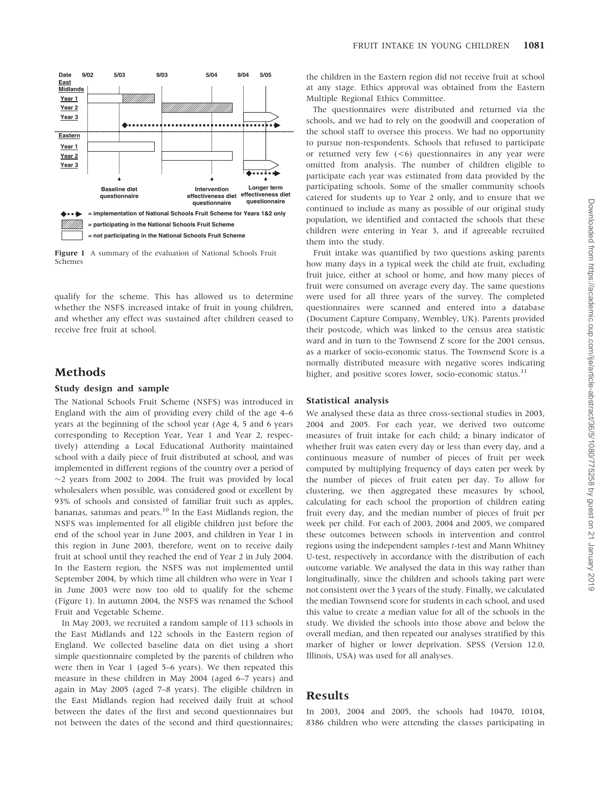

Figure 1 A summary of the evaluation of National Schools Fruit Schemes

qualify for the scheme. This has allowed us to determine whether the NSFS increased intake of fruit in young children, and whether any effect was sustained after children ceased to receive free fruit at school.

# Methods

#### Study design and sample

The National Schools Fruit Scheme (NSFS) was introduced in England with the aim of providing every child of the age 4–6 years at the beginning of the school year (Age 4, 5 and 6 years corresponding to Reception Year, Year 1 and Year 2, respectively) attending a Local Educational Authority maintained school with a daily piece of fruit distributed at school, and was implemented in different regions of the country over a period of  $\sim$ 2 years from 2002 to 2004. The fruit was provided by local wholesalers when possible, was considered good or excellent by 93% of schools and consisted of familiar fruit such as apples, bananas, satumas and pears. $10$  In the East Midlands region, the NSFS was implemented for all eligible children just before the end of the school year in June 2003, and children in Year 1 in this region in June 2003, therefore, went on to receive daily fruit at school until they reached the end of Year 2 in July 2004. In the Eastern region, the NSFS was not implemented until September 2004, by which time all children who were in Year 1 in June 2003 were now too old to qualify for the scheme (Figure 1). In autumn 2004, the NSFS was renamed the School Fruit and Vegetable Scheme.

In May 2003, we recruited a random sample of 113 schools in the East Midlands and 122 schools in the Eastern region of England. We collected baseline data on diet using a short simple questionnaire completed by the parents of children who were then in Year 1 (aged 5–6 years). We then repeated this measure in these children in May 2004 (aged 6–7 years) and again in May 2005 (aged 7–8 years). The eligible children in the East Midlands region had received daily fruit at school between the dates of the first and second questionnaires but not between the dates of the second and third questionnaires; the children in the Eastern region did not receive fruit at school at any stage. Ethics approval was obtained from the Eastern Multiple Regional Ethics Committee.

The questionnaires were distributed and returned via the schools, and we had to rely on the goodwill and cooperation of the school staff to oversee this process. We had no opportunity to pursue non-respondents. Schools that refused to participate or returned very few (<6) questionnaires in any year were omitted from analysis. The number of children eligible to participate each year was estimated from data provided by the participating schools. Some of the smaller community schools catered for students up to Year 2 only, and to ensure that we continued to include as many as possible of our original study population, we identified and contacted the schools that these children were entering in Year 3, and if agreeable recruited them into the study.

Fruit intake was quantified by two questions asking parents how many days in a typical week the child ate fruit, excluding fruit juice, either at school or home, and how many pieces of fruit were consumed on average every day. The same questions were used for all three years of the survey. The completed questionnaires were scanned and entered into a database (Document Capture Company, Wembley, UK). Parents provided their postcode, which was linked to the census area statistic ward and in turn to the Townsend Z score for the 2001 census, as a marker of socio-economic status. The Townsend Score is a normally distributed measure with negative scores indicating higher, and positive scores lower, socio-economic status.<sup>11</sup>

### Statistical analysis

We analysed these data as three cross-sectional studies in 2003, 2004 and 2005. For each year, we derived two outcome measures of fruit intake for each child; a binary indicator of whether fruit was eaten every day or less than every day, and a continuous measure of number of pieces of fruit per week computed by multiplying frequency of days eaten per week by the number of pieces of fruit eaten per day. To allow for clustering, we then aggregated these measures by school, calculating for each school the proportion of children eating fruit every day, and the median number of pieces of fruit per week per child. For each of 2003, 2004 and 2005, we compared these outcomes between schools in intervention and control regions using the independent samples t-test and Mann Whitney U-test, respectively in accordance with the distribution of each outcome variable. We analysed the data in this way rather than longitudinally, since the children and schools taking part were not consistent over the 3 years of the study. Finally, we calculated the median Townsend score for students in each school, and used this value to create a median value for all of the schools in the study. We divided the schools into those above and below the overall median, and then repeated our analyses stratified by this marker of higher or lower deprivation. SPSS (Version 12.0, Illinois, USA) was used for all analyses.

## Results

In 2003, 2004 and 2005, the schools had 10470, 10104, 8386 children who were attending the classes participating in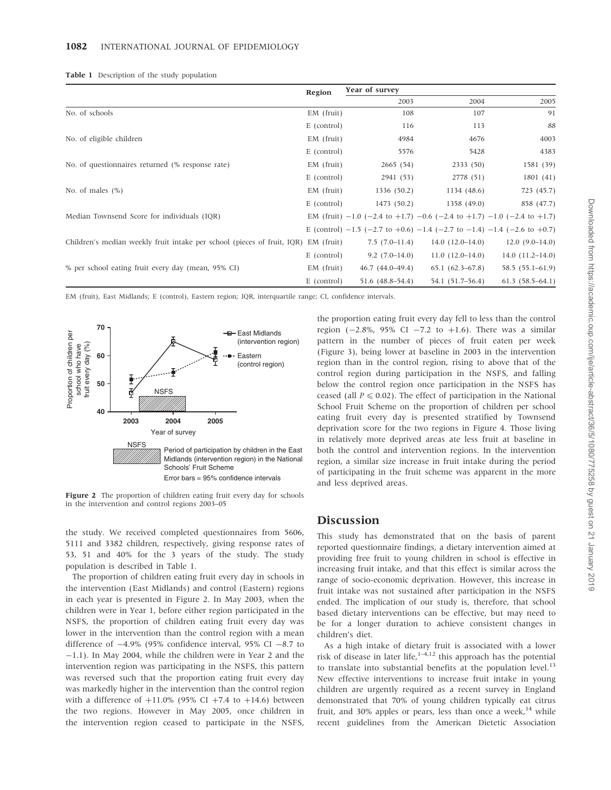|                                                                                    | Region       |                                                                                                 |                   | Year of survey    |  |  |
|------------------------------------------------------------------------------------|--------------|-------------------------------------------------------------------------------------------------|-------------------|-------------------|--|--|
|                                                                                    |              | 2003                                                                                            | 2004              | 2005              |  |  |
| No. of schools                                                                     | $EM$ (fruit) | 108                                                                                             | 107               | 91                |  |  |
|                                                                                    | E (control)  | 116                                                                                             | 113               | 88                |  |  |
| No. of eligible children                                                           | $EM$ (fruit) | 4984                                                                                            | 4676              | 4003              |  |  |
|                                                                                    | E (control)  | 5576                                                                                            | 5428              | 4383              |  |  |
| No. of questionnaires returned (% response rate)                                   | $EM$ (fruit) | 2665(54)                                                                                        | 2333(50)          | 1581 (39)         |  |  |
|                                                                                    | E (control)  | 2941 (53)                                                                                       | 2778 (51)         | 1801(41)          |  |  |
| No. of males $(\%)$                                                                | $EM$ (fruit) | 1336 (50.2)                                                                                     | 1134 (48.6)       | 723 (45.7)        |  |  |
|                                                                                    | E (control)  | 1473 (50.2)                                                                                     | 1358 (49.0)       | 858 (47.7)        |  |  |
| Median Townsend Score for individuals (IQR)                                        |              | EM (fruit) $-1.0$ ( $-2.4$ to $+1.7$ ) $-0.6$ ( $-2.4$ to $+1.7$ ) $-1.0$ ( $-2.4$ to $+1.7$ )  |                   |                   |  |  |
|                                                                                    |              | E (control) $-1.5$ ( $-2.7$ to $+0.6$ ) $-1.4$ ( $-2.7$ to $-1.4$ ) $-1.4$ ( $-2.6$ to $+0.7$ ) |                   |                   |  |  |
| Children's median weekly fruit intake per school (pieces of fruit, IQR) EM (fruit) |              | $7.5(7.0-11.4)$                                                                                 | $14.0(12.0-14.0)$ | $12.0(9.0-14.0)$  |  |  |
|                                                                                    | E (control)  | $9.2(7.0-14.0)$                                                                                 | $11.0(12.0-14.0)$ | $14.0(11.2-14.0)$ |  |  |
| % per school eating fruit every day (mean, 95% CI)                                 | $EM$ (fruit) | $46.7(44.0-49.4)$                                                                               | $65.1(62.3-67.8)$ | 58.5 (55.1-61.9)  |  |  |
|                                                                                    | E (control)  | 51.6 (48.8–54.4)                                                                                | 54.1 (51.7–56.4)  | $61.3(58.5-64.1)$ |  |  |

EM (fruit), East Midlands; E (control), Eastern region; IQR, interquartile range; CI, confidence intervals.



Figure 2 The proportion of children eating fruit every day for schools in the intervention and control regions 2003–05

the study. We received completed questionnaires from 5606, 5111 and 3382 children, respectively, giving response rates of 53, 51 and 40% for the 3 years of the study. The study population is described in Table 1.

The proportion of children eating fruit every day in schools in the intervention (East Midlands) and control (Eastern) regions in each year is presented in Figure 2. In May 2003, when the children were in Year 1, before either region participated in the NSFS, the proportion of children eating fruit every day was lower in the intervention than the control region with a mean difference of  $-4.9\%$  (95% confidence interval, 95% CI  $-8.7$  to -1.1). In May 2004, while the children were in Year 2 and the intervention region was participating in the NSFS, this pattern was reversed such that the proportion eating fruit every day was markedly higher in the intervention than the control region with a difference of  $+11.0\%$  (95% CI  $+7.4$  to  $+14.6$ ) between the two regions. However in May 2005, once children in the intervention region ceased to participate in the NSFS,

the proportion eating fruit every day fell to less than the control region  $(-2.8\%$ , 95% CI  $-7.2$  to  $+1.6$ ). There was a similar pattern in the number of pieces of fruit eaten per week (Figure 3), being lower at baseline in 2003 in the intervention region than in the control region, rising to above that of the control region during participation in the NSFS, and falling below the control region once participation in the NSFS has ceased (all  $P \le 0.02$ ). The effect of participation in the National School Fruit Scheme on the proportion of children per school eating fruit every day is presented stratified by Townsend deprivation score for the two regions in Figure 4. Those living in relatively more deprived areas ate less fruit at baseline in both the control and intervention regions. In the intervention region, a similar size increase in fruit intake during the period of participating in the fruit scheme was apparent in the more and less deprived areas.

# Discussion

This study has demonstrated that on the basis of parent reported questionnaire findings, a dietary intervention aimed at providing free fruit to young children in school is effective in increasing fruit intake, and that this effect is similar across the range of socio-economic deprivation. However, this increase in fruit intake was not sustained after participation in the NSFS ended. The implication of our study is, therefore, that school based dietary interventions can be effective, but may need to be for a longer duration to achieve consistent changes in children's diet.

As a high intake of dietary fruit is associated with a lower risk of disease in later life,  $1-4,12$  this approach has the potential to translate into substantial benefits at the population level. $13$ New effective interventions to increase fruit intake in young children are urgently required as a recent survey in England demonstrated that 70% of young children typically eat citrus fruit, and 30% apples or pears, less than once a week,  $14$  while recent guidelines from the American Dietetic Association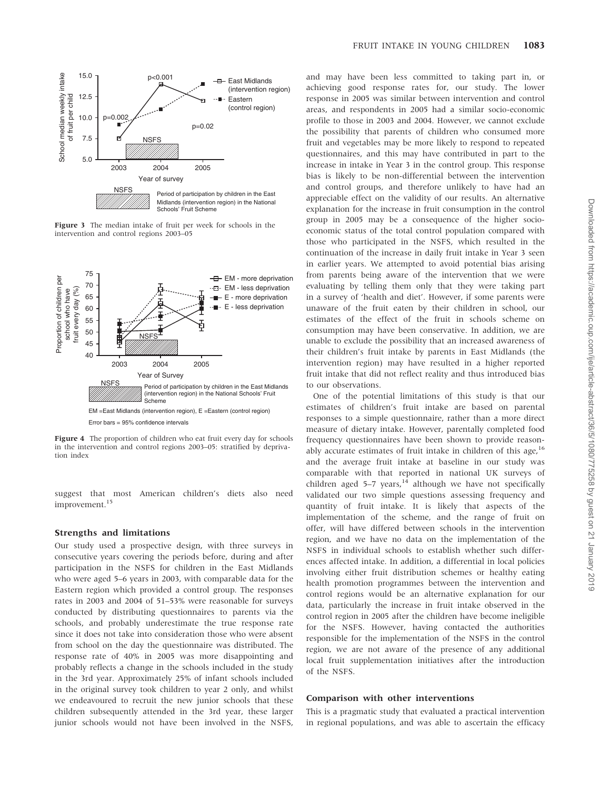

Figure 3 The median intake of fruit per week for schools in the intervention and control regions 2003–05



Figure 4 The proportion of children who eat fruit every day for schools in the intervention and control regions 2003–05: stratified by deprivation index

suggest that most American children's diets also need improvement.<sup>15</sup>

## Strengths and limitations

Our study used a prospective design, with three surveys in consecutive years covering the periods before, during and after participation in the NSFS for children in the East Midlands who were aged 5–6 years in 2003, with comparable data for the Eastern region which provided a control group. The responses rates in 2003 and 2004 of 51–53% were reasonable for surveys conducted by distributing questionnaires to parents via the schools, and probably underestimate the true response rate since it does not take into consideration those who were absent from school on the day the questionnaire was distributed. The response rate of 40% in 2005 was more disappointing and probably reflects a change in the schools included in the study in the 3rd year. Approximately 25% of infant schools included in the original survey took children to year 2 only, and whilst we endeavoured to recruit the new junior schools that these children subsequently attended in the 3rd year, these larger junior schools would not have been involved in the NSFS, and may have been less committed to taking part in, or achieving good response rates for, our study. The lower response in 2005 was similar between intervention and control areas, and respondents in 2005 had a similar socio-economic profile to those in 2003 and 2004. However, we cannot exclude the possibility that parents of children who consumed more fruit and vegetables may be more likely to respond to repeated questionnaires, and this may have contributed in part to the increase in intake in Year 3 in the control group. This response bias is likely to be non-differential between the intervention and control groups, and therefore unlikely to have had an appreciable effect on the validity of our results. An alternative explanation for the increase in fruit consumption in the control group in 2005 may be a consequence of the higher socioeconomic status of the total control population compared with those who participated in the NSFS, which resulted in the continuation of the increase in daily fruit intake in Year 3 seen in earlier years. We attempted to avoid potential bias arising from parents being aware of the intervention that we were evaluating by telling them only that they were taking part in a survey of 'health and diet'. However, if some parents were unaware of the fruit eaten by their children in school, our estimates of the effect of the fruit in schools scheme on consumption may have been conservative. In addition, we are unable to exclude the possibility that an increased awareness of their children's fruit intake by parents in East Midlands (the intervention region) may have resulted in a higher reported fruit intake that did not reflect reality and thus introduced bias to our observations.

One of the potential limitations of this study is that our estimates of children's fruit intake are based on parental responses to a simple questionnaire, rather than a more direct measure of dietary intake. However, parentally completed food frequency questionnaires have been shown to provide reasonably accurate estimates of fruit intake in children of this age,  $16$ and the average fruit intake at baseline in our study was comparable with that reported in national UK surveys of children aged  $5-7$  years,<sup>14</sup> although we have not specifically validated our two simple questions assessing frequency and quantity of fruit intake. It is likely that aspects of the implementation of the scheme, and the range of fruit on offer, will have differed between schools in the intervention region, and we have no data on the implementation of the NSFS in individual schools to establish whether such differences affected intake. In addition, a differential in local policies involving either fruit distribution schemes or healthy eating health promotion programmes between the intervention and control regions would be an alternative explanation for our data, particularly the increase in fruit intake observed in the control region in 2005 after the children have become ineligible for the NSFS. However, having contacted the authorities responsible for the implementation of the NSFS in the control region, we are not aware of the presence of any additional local fruit supplementation initiatives after the introduction of the NSFS.

#### Comparison with other interventions

This is a pragmatic study that evaluated a practical intervention in regional populations, and was able to ascertain the efficacy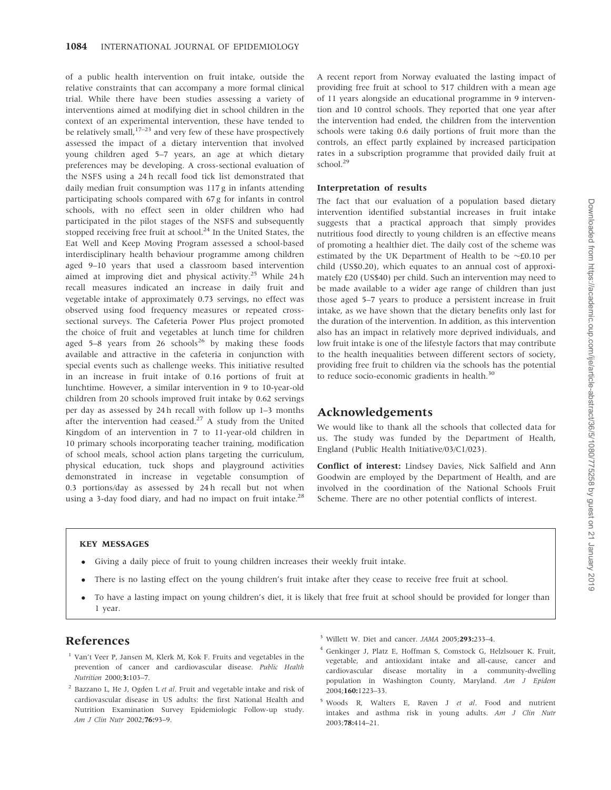of a public health intervention on fruit intake, outside the relative constraints that can accompany a more formal clinical trial. While there have been studies assessing a variety of interventions aimed at modifying diet in school children in the context of an experimental intervention, these have tended to be relatively small,  $17-23$  and very few of these have prospectively assessed the impact of a dietary intervention that involved young children aged 5–7 years, an age at which dietary preferences may be developing. A cross-sectional evaluation of the NSFS using a 24 h recall food tick list demonstrated that daily median fruit consumption was 117 g in infants attending participating schools compared with 67 g for infants in control schools, with no effect seen in older children who had participated in the pilot stages of the NSFS and subsequently stopped receiving free fruit at school.<sup>24</sup> In the United States, the Eat Well and Keep Moving Program assessed a school-based interdisciplinary health behaviour programme among children aged 9–10 years that used a classroom based intervention aimed at improving diet and physical activity.<sup>25</sup> While 24 h recall measures indicated an increase in daily fruit and vegetable intake of approximately 0.73 servings, no effect was observed using food frequency measures or repeated crosssectional surveys. The Cafeteria Power Plus project promoted the choice of fruit and vegetables at lunch time for children aged  $5-8$  years from  $26$  schools<sup>26</sup> by making these foods available and attractive in the cafeteria in conjunction with special events such as challenge weeks. This initiative resulted in an increase in fruit intake of 0.16 portions of fruit at lunchtime. However, a similar intervention in 9 to 10-year-old children from 20 schools improved fruit intake by 0.62 servings per day as assessed by 24 h recall with follow up 1–3 months after the intervention had ceased.<sup>27</sup> A study from the United Kingdom of an intervention in 7 to 11-year-old children in 10 primary schools incorporating teacher training, modification of school meals, school action plans targeting the curriculum, physical education, tuck shops and playground activities demonstrated in increase in vegetable consumption of 0.3 portions/day as assessed by 24 h recall but not when using a 3-day food diary, and had no impact on fruit intake.<sup>28</sup>

A recent report from Norway evaluated the lasting impact of providing free fruit at school to 517 children with a mean age of 11 years alongside an educational programme in 9 intervention and 10 control schools. They reported that one year after the intervention had ended, the children from the intervention schools were taking 0.6 daily portions of fruit more than the controls, an effect partly explained by increased participation rates in a subscription programme that provided daily fruit at school.<sup>29</sup>

### Interpretation of results

The fact that our evaluation of a population based dietary intervention identified substantial increases in fruit intake suggests that a practical approach that simply provides nutritious food directly to young children is an effective means of promoting a healthier diet. The daily cost of the scheme was estimated by the UK Department of Health to be  $\sim$ £0.10 per child (US\$0.20), which equates to an annual cost of approximately £20 (US\$40) per child. Such an intervention may need to be made available to a wider age range of children than just those aged 5–7 years to produce a persistent increase in fruit intake, as we have shown that the dietary benefits only last for the duration of the intervention. In addition, as this intervention also has an impact in relatively more deprived individuals, and low fruit intake is one of the lifestyle factors that may contribute to the health inequalities between different sectors of society, providing free fruit to children via the schools has the potential to reduce socio-economic gradients in health.<sup>30</sup>

# Acknowledgements

We would like to thank all the schools that collected data for us. The study was funded by the Department of Health, England (Public Health Initiative/03/C1/023).

Conflict of interest: Lindsey Davies, Nick Salfield and Ann Goodwin are employed by the Department of Health, and are involved in the coordination of the National Schools Fruit Scheme. There are no other potential conflicts of interest.

## KEY MESSAGES

- Giving a daily piece of fruit to young children increases their weekly fruit intake.
- There is no lasting effect on the young children's fruit intake after they cease to receive free fruit at school.
- To have a lasting impact on young children's diet, it is likely that free fruit at school should be provided for longer than 1 year.

# References

- <sup>1</sup> Van't Veer P, Jansen M, Klerk M, Kok F. Fruits and vegetables in the prevention of cancer and cardiovascular disease. Public Health Nutrition 2000;3:103–7.
- $2$  Bazzano L, He J, Ogden L et al. Fruit and vegetable intake and risk of cardiovascular disease in US adults: the first National Health and Nutrition Examination Survey Epidemiologic Follow-up study. Am J Clin Nutr 2002;76:93–9.
- <sup>3</sup> Willett W. Diet and cancer. *JAMA* 2005;293:233-4.
- <sup>4</sup> Genkinger J, Platz E, Hoffman S, Comstock G, Helzlsouer K. Fruit, vegetable, and antioxidant intake and all-cause, cancer and cardiovascular disease mortality in a community-dwelling population in Washington County, Maryland. Am J Epidem 2004;160:1223–33.
- <sup>5</sup> Woods R, Walters E, Raven J et al. Food and nutrient intakes and asthma risk in young adults. Am J Clin Nutr 2003;78:414–21.